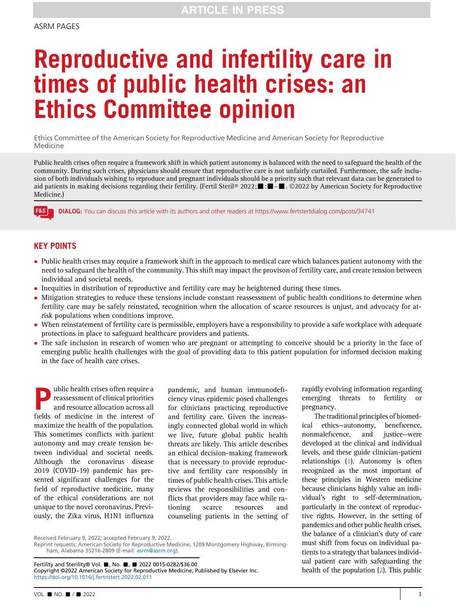# Reproductive and infertility care in times of public health crises: an Ethics Committee opinion

Ethics Committee of the American Society for Reproductive Medicine and American Society for Reproductive Medicine

Public health crises often require a framework shift in which patient autonomy is balanced with the need to safeguard the health of the community. During such crises, physicians should ensure that reproductive care is not unfairly curtailed. Furthermore, the safe inclusion of both individuals wishing to reproduce and pregnant individuals should be a priority such that relevant data can be generated to aid patients in making decisions regarding their fertility. (Fertil Steril® 2022;  $\blacksquare$ :  $\blacksquare$  . ©2022 by American Society for Reproductive Medicine.)

DIALOG: You can discuss this article with its authors and other readers at<https://www.fertstertdialog.com/posts/34741>

## KEY POINTS

**F&S** 

- Public health crises may require a framework shift in the approach to medical care which balances patient autonomy with the need to safeguard the health of the community. This shift may impact the provison of fertility care, and create tension between individual and societal needs.
- Inequities in distribution of reproductive and fertility care may be heightened during these times.
- Mitigation strategies to reduce these tensions include constant reassessment of public health conditions to determine when fertility care may be safely reinstated, recognition when the allocation of scarce resources is unjust, and advocacy for atrisk populations when conditions improve.
- When reinstatement of fertility care is permissible, employers have a responsibility to provide a safe workplace with adequate protections in place to safeguard healthcare providers and patients.
- The safe inclusion in research of women who are pregnant or attempting to conceive should be a priority in the face of emerging public health challenges with the goal of providing data to this patient population for informed decision making in the face of health care crises.

whic health crises often require a<br>reassessment of clinical priorities<br>and resource allocation across all<br>fields of medicine in the interest of reassessment of clinical priorities and resource allocation across all fields of medicine in the interest of maximize the health of the population. This sometimes conflicts with patient autonomy and may create tension between individual and societal needs. Although the coronavirus disease 2019 (COVID-19) pandemic has presented significant challenges for the field of reproductive medicine, many of the ethical considerations are not unique to the novel coronavirus. Previously, the Zika virus, H1N1 influenza

pandemic, and human immunodeficiency virus epidemic posed challenges for clinicians practicing reproductive and fertility care. Given the increasingly connected global world in which we live, future global public health threats are likely. This article describes an ethical decision-making framework that is necessary to provide reproductive and fertility care responsibly in times of public health crises. This article reviews the responsibilities and conflicts that providers may face while rationing scarce resources and counseling patients in the setting of rapidly evolving information regarding emerging threats to fertility or pregnancy.

The traditional principles of biomedical ethics—autonomy, beneficence, nonmaleficence, and justice—were developed at the clinical and individual levels, and these guide clinician-patient relationships [\(1](#page-3-0)). Autonomy is often recognized as the most important of these principles in Western medicine because clinicians highly value an individual's right to self-determination, particularly in the context of reproductive rights. However, in the setting of pandemics and other public health crises, the balance of a clinician's duty of care must shift from focus on individual patients to a strategy that balances individual patient care with safeguarding the health of the population [\(2\)](#page-3-1). This public

Received February 9, 2022; accepted February 9, 2022.

Fertility and Sterility® Vol. , No. , 2022 0015-0282/\$36.00 Copyright ©2022 American Society for Reproductive Medicine, Published by Elsevier Inc. <https://doi.org/10.1016/j.fertnstert.2022.02.011>

Reprint requests: American Society for Reproductive Medicine, 1209 Montgomery Highway, Birmingham, Alabama 35216-2809 (E-mail: [asrm@asrm.org](mailto:asrm@asrm.org)).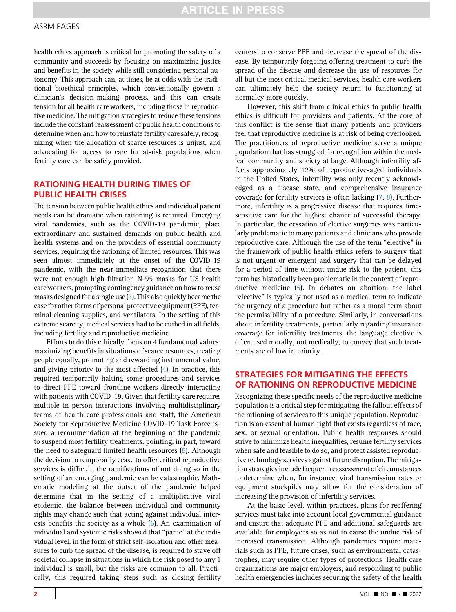health ethics approach is critical for promoting the safety of a community and succeeds by focusing on maximizing justice and benefits in the society while still considering personal autonomy. This approach can, at times, be at odds with the traditional bioethical principles, which conventionally govern a clinician's decision-making process, and this can create tension for all health care workers, including those in reproductive medicine. The mitigation strategies to reduce these tensions include the constant reassessment of public health conditions to determine when and how to reinstate fertility care safely, recognizing when the allocation of scarce resources is unjust, and advocating for access to care for at-risk populations when fertility care can be safely provided.

## RATIONING HEALTH DURING TIMES OF PUBLIC HEALTH CRISES

The tension between public health ethics and individual patient needs can be dramatic when rationing is required. Emerging viral pandemics, such as the COVID-19 pandemic, place extraordinary and sustained demands on public health and health systems and on the providers of essential community services, requiring the rationing of limited resources. This was seen almost immediately at the onset of the COVID-19 pandemic, with the near-immediate recognition that there were not enough high-filtration N-95 masks for US health care workers, prompting contingency guidance on how to reuse masks designed for a single use [\(3\)](#page-3-2). This also quickly became the case for other forms of personal protective equipment (PPE), terminal cleaning supplies, and ventilators. In the setting of this extreme scarcity, medical services had to be curbed in all fields, including fertility and reproductive medicine.

Efforts to do this ethically focus on 4 fundamental values: maximizing benefits in situations of scarce resources, treating people equally, promoting and rewarding instrumental value, and giving priority to the most affected [\(4](#page-3-3)). In practice, this required temporarily halting some procedures and services to direct PPE toward frontline workers directly interacting with patients with COVID-19. Given that fertility care requires multiple in-person interactions involving multidisciplinary teams of health care professionals and staff, the American Society for Reproductive Medicine COVID-19 Task Force issued a recommendation at the beginning of the pandemic to suspend most fertility treatments, pointing, in part, toward the need to safeguard limited health resources ([5\)](#page-3-4). Although the decision to temporarily cease to offer critical reproductive services is difficult, the ramifications of not doing so in the setting of an emerging pandemic can be catastrophic. Mathematic modeling at the outset of the pandemic helped determine that in the setting of a multiplicative viral epidemic, the balance between individual and community rights may change such that acting against individual interests benefits the society as a whole [\(6\)](#page-3-5). An examination of individual and systemic risks showed that ''panic'' at the individual level, in the form of strict self-isolation and other measures to curb the spread of the disease, is required to stave off societal collapse in situations in which the risk posed to any 1 individual is small, but the risks are common to all. Practically, this required taking steps such as closing fertility

centers to conserve PPE and decrease the spread of the disease. By temporarily forgoing offering treatment to curb the spread of the disease and decrease the use of resources for all but the most critical medical services, health care workers can ultimately help the society return to functioning at normalcy more quickly.

However, this shift from clinical ethics to public health ethics is difficult for providers and patients. At the core of this conflict is the sense that many patients and providers feel that reproductive medicine is at risk of being overlooked. The practitioners of reproductive medicine serve a unique population that has struggled for recognition within the medical community and society at large. Although infertility affects approximately 12% of reproductive-aged individuals in the United States, infertility was only recently acknowledged as a disease state, and comprehensive insurance coverage for fertility services is often lacking ([7](#page-3-6), [8](#page-3-7)). Furthermore, infertility is a progressive disease that requires timesensitive care for the highest chance of successful therapy. In particular, the cessation of elective surgeries was particularly problematic to many patients and clinicians who provide reproductive care. Although the use of the term ''elective'' in the framework of public health ethics refers to surgery that is not urgent or emergent and surgery that can be delayed for a period of time without undue risk to the patient, this term has historically been problematic in the context of reproductive medicine ([5\)](#page-3-4). In debates on abortion, the label ''elective'' is typically not used as a medical term to indicate the urgency of a procedure but rather as a moral term about the permissibility of a procedure. Similarly, in conversations about infertility treatments, particularly regarding insurance coverage for infertility treatments, the language elective is often used morally, not medically, to convey that such treatments are of low in priority.

## STRATEGIES FOR MITIGATING THE EFFECTS OF RATIONING ON REPRODUCTIVE MEDICINE

Recognizing these specific needs of the reproductive medicine population is a critical step for mitigating the fallout effects of the rationing of services to this unique population. Reproduction is an essential human right that exists regardless of race, sex, or sexual orientation. Public health responses should strive to minimize health inequalities, resume fertility services when safe and feasible to do so, and protect assisted reproductive technology services against future disruption. The mitigation strategies include frequent reassessment of circumstances to determine when, for instance, viral transmission rates or equipment stockpiles may allow for the consideration of increasing the provision of infertility services.

At the basic level, within practices, plans for reoffering services must take into account local governmental guidance and ensure that adequate PPE and additional safeguards are available for employees so as not to cause the undue risk of increased transmission. Although pandemics require materials such as PPE, future crises, such as environmental catastrophes, may require other types of protections. Health care organizations are major employers, and responding to public health emergencies includes securing the safety of the health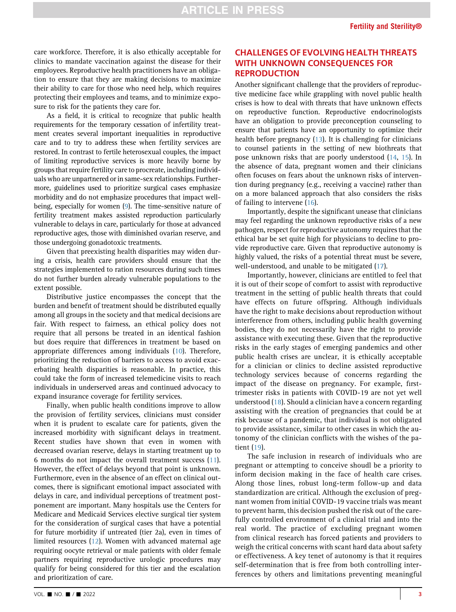care workforce. Therefore, it is also ethically acceptable for clinics to mandate vaccination against the disease for their employees. Reproductive health practitioners have an obligation to ensure that they are making decisions to maximize their ability to care for those who need help, which requires protecting their employees and teams, and to minimize exposure to risk for the patients they care for.

As a field, it is critical to recognize that public health requirements for the temporary cessation of infertility treatment creates several important inequalities in reproductive care and to try to address these when fertility services are restored. In contrast to fertile heterosexual couples, the impact of limiting reproductive services is more heavily borne by groups that require fertility care to procreate, including individuals who are unpartnered or in same-sex relationships. Furthermore, guidelines used to prioritize surgical cases emphasize morbidity and do not emphasize procedures that impact wellbeing, especially for women [\(9](#page-3-8)). The time-sensitive nature of fertility treatment makes assisted reproduction particularly vulnerable to delays in care, particularly for those at advanced reproductive ages, those with diminished ovarian reserve, and those undergoing gonadotoxic treatments.

Given that preexisting health disparities may widen during a crisis, health care providers should ensure that the strategies implemented to ration resources during such times do not further burden already vulnerable populations to the extent possible.

Distributive justice encompasses the concept that the burden and benefit of treatment should be distributed equally among all groups in the society and that medical decisions are fair. With respect to fairness, an ethical policy does not require that all persons be treated in an identical fashion but does require that differences in treatment be based on appropriate differences among individuals ([10\)](#page-3-9). Therefore, prioritizing the reduction of barriers to access to avoid exacerbating health disparities is reasonable. In practice, this could take the form of increased telemedicine visits to reach individuals in underserved areas and continued advocacy to expand insurance coverage for fertility services.

Finally, when public health conditions improve to allow the provision of fertility services, clinicians must consider when it is prudent to escalate care for patients, given the increased morbidity with significant delays in treatment. Recent studies have shown that even in women with decreased ovarian reserve, delays in starting treatment up to 6 months do not impact the overall treatment success ([11](#page-4-0)). However, the effect of delays beyond that point is unknown. Furthermore, even in the absence of an effect on clinical outcomes, there is significant emotional impact associated with delays in care, and individual perceptions of treatment postponement are important. Many hospitals use the Centers for Medicare and Medicaid Services elective surgical tier system for the consideration of surgical cases that have a potential for future morbidity if untreated (tier 2a), even in times of limited resources [\(12\)](#page-4-1). Women with advanced maternal age requiring oocyte retrieval or male patients with older female partners requiring reproductive urologic procedures may qualify for being considered for this tier and the escalation and prioritization of care.

### CHALLENGES OF EVOLVING HEALTH THREATS WITH UNKNOWN CONSEQUENCES FOR **REPRODUCTION**

Another significant challenge that the providers of reproductive medicine face while grappling with novel public health crises is how to deal with threats that have unknown effects on reproductive function. Reproductive endocrinologists have an obligation to provide preconception counseling to ensure that patients have an opportunity to optimize their health before pregnancy ([13\)](#page-4-2). It is challenging for clinicians to counsel patients in the setting of new biothreats that pose unknown risks that are poorly understood ([14,](#page-4-3) [15\)](#page-4-4). In the absence of data, pregnant women and their clinicians often focuses on fears about the unknown risks of intervention during pregnancy (e.g., receiving a vaccine) rather than on a more balanced approach that also considers the risks of failing to intervene ([16](#page-4-5)).

Importantly, despite the significant unease that clinicians may feel regarding the unknown reproductive risks of a new pathogen, respect for reproductive autonomy requires that the ethical bar be set quite high for physicians to decline to provide reproductive care. Given that reproductive autonomy is highly valued, the risks of a potential threat must be severe, well-understood, and unable to be mitigated ([17](#page-4-6)).

Importantly, however, clinicians are entitled to feel that it is out of their scope of comfort to assist with reproductive treatment in the setting of public health threats that could have effects on future offspring. Although individuals have the right to make decisions about reproduction without interference from others, including public health governing bodies, they do not necessarily have the right to provide assistance with executing these. Given that the reproductive risks in the early stages of emerging pandemics and other public health crises are unclear, it is ethically acceptable for a clinician or clinics to decline assisted reproductive technology services because of concerns regarding the impact of the disease on pregnancy. For example, firsttrimester risks in patients with COVID-19 are not yet well understood ([18\)](#page-4-7). Should a clinician have a concern regarding assisting with the creation of pregnancies that could be at risk because of a pandemic, that individual is not obligated to provide assistance, similar to other cases in which the autonomy of the clinician conflicts with the wishes of the patient ([19](#page-4-8)).

The safe inclusion in research of individuals who are pregnant or attempting to conceive shoudl be a priority to inform decision making in the face of health care crises. Along those lines, robust long-term follow-up and data standardization are critical. Although the exclusion of pregnant women from initial COVID-19 vaccine trials was meant to prevent harm, this decision pushed the risk out of the carefully controlled environment of a clinical trial and into the real world. The practice of excluding pregnant women from clinical research has forced patients and providers to weigh the critical concerns with scant hard data about safety or effectiveness. A key tenet of autonomy is that it requires self-determination that is free from both controlling interferences by others and limitations preventing meaningful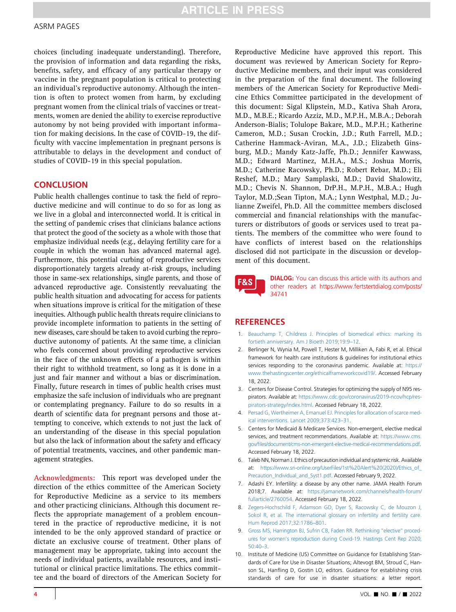#### ASRM PAGES

choices (including inadequate understanding). Therefore, the provision of information and data regarding the risks, benefits, safety, and efficacy of any particular therapy or vaccine in the pregnant population is critical to protecting an individual's reproductive autonomy. Although the intention is often to protect women from harm, by excluding pregnant women from the clinical trials of vaccines or treatments, women are denied the ability to exercise reproductive autonomy by not being provided with important information for making decisions. In the case of COVID-19, the difficulty with vaccine implementation in pregnant persons is attributable to delays in the development and conduct of studies of COVID-19 in this special population.

#### **CONCLUSION**

Public health challenges continue to task the field of reproductive medicine and will continue to do so for as long as we live in a global and interconnected world. It is critical in the setting of pandemic crises that clinicians balance actions that protect the good of the society as a whole with those that emphasize individual needs (e.g., delaying fertility care for a couple in which the woman has advanced maternal age). Furthermore, this potential curbing of reproductive services disproportionately targets already at-risk groups, including those in same-sex relationships, single parents, and those of advanced reproductive age. Consistently reevaluating the public health situation and advocating for access for patients when situations improve is critical for the mitigation of these inequities. Although public health threats require clinicians to provide incomplete information to patients in the setting of new diseases, care should be taken to avoid curbing the reproductive autonomy of patients. At the same time, a clinician who feels concerned about providing reproductive services in the face of the unknown effects of a pathogen is within their right to withhold treatment, so long as it is done in a just and fair manner and without a bias or discrimination. Finally, future research in times of public health crises must emphasize the safe inclusion of individuals who are pregnant or contemplating pregnancy. Failure to do so results in a dearth of scientific data for pregnant persons and those attempting to conceive, which extends to not just the lack of an understanding of the disease in this special population but also the lack of information about the safety and efficacy of potential treatments, vaccines, and other pandemic management strategies.

Acknowledgments: This report was developed under the direction of the ethics committee of the American Society for Reproductive Medicine as a service to its members and other practicing clinicians. Although this document reflects the appropriate management of a problem encountered in the practice of reproductive medicine, it is not intended to be the only approved standard of practice or dictate an exclusive course of treatment. Other plans of management may be appropriate, taking into account the needs of individual patients, available resources, and institutional or clinical practice limitations. The ethics committee and the board of directors of the American Society for

Reproductive Medicine have approved this report. This document was reviewed by American Society for Reproductive Medicine members, and their input was considered in the preparation of the final document. The following members of the American Society for Reproductive Medicine Ethics Committee participated in the development of this document: Sigal Klipstein, M.D., Kativa Shah Arora, M.D., M.B.E.; Ricardo Azziz, M.D., M.P.H., M.B.A.; Deborah Anderson-Bialis; Tolulope Bakare, M.D., M.P.H.; Katherine Cameron, M.D.; Susan Crockin, J.D.; Ruth Farrell, M.D.; Catherine Hammack-Aviran, M.A., J.D.; Elizabeth Ginsburg, M.D.; Mandy Katz-Jaffe, Ph.D.; Jennifer Kawwass, M.D.; Edward Martinez, M.H.A., M.S.; Joshua Morris, M.D.; Catherine Racowsky, Ph.D.; Robert Rebar, M.D.; Eli Reshef, M.D.; Mary Samplaski, M.D.; David Shalowitz, M.D.; Chevis N. Shannon, DrP.H., M.P.H., M.B.A.; Hugh Taylor, M.D.;Sean Tipton, M.A.; Lynn Westphal, M.D.; Julianne Zweifel, Ph.D. All the committee members disclosed commercial and financial relationships with the manufacturers or distributors of goods or services used to treat patients. The members of the committee who were found to have conflicts of interest based on the relationships disclosed did not participate in the discussion or development of this document.

**F&S** 

DIALOG: You can discuss this article with its authors and other readers at [https://www.fertstertdialog.com/posts/](https://www.fertstertdialog.com/posts/34741) [34741](https://www.fertstertdialog.com/posts/34741)

#### **REFERENCES**

- <span id="page-3-0"></span>1. [Beauchamp T, Childress J. Principles of biomedical ethics: marking its](http://refhub.elsevier.com/S0015-0282(22)00126-1/sref1) [fortieth anniversary. Am J Bioeth 2019;19:9](http://refhub.elsevier.com/S0015-0282(22)00126-1/sref1)–12.
- <span id="page-3-1"></span>2. Berlinger N, Wynia M, Powell T, Hester M, Milliken A, Fabi R, et al. Ethical framework for health care institutions & guidelines for institutional ethics services responding to the coronavirus pandemic. Available at: [https://](https://www.thehastingscenter.org/ethicalframeworkcovid19/) [www.thehastingscenter.org/ethicalframeworkcovid19/](https://www.thehastingscenter.org/ethicalframeworkcovid19/). Accessed February 18, 2022.
- <span id="page-3-2"></span>3. Centers for Disease Control. Strategies for optimizing the supply of N95 respirators. Available at: [https://www.cdc.gov/coronavirus/2019-ncov/hcp/res](https://www.cdc.gov/coronavirus/2019-ncov/hcp/respirators-strategy/index.html)[pirators-strategy/index.html](https://www.cdc.gov/coronavirus/2019-ncov/hcp/respirators-strategy/index.html). Accessed February 18, 2022.
- <span id="page-3-3"></span>4. [Persad G, Wertheimer A, Emanuel EJ. Principles for allocation of scarce med](http://refhub.elsevier.com/S0015-0282(22)00126-1/sref4)[ical interventions. Lancet 2009;373:423](http://refhub.elsevier.com/S0015-0282(22)00126-1/sref4)–31.
- <span id="page-3-4"></span>5. Centers for Medicaid & Medicare Services. Non-emergent, elective medical services, and treatment recommendations. Available at: [https://www.cms.](https://www.cms.gov/files/document/cms-non-emergent-elective-medical-recommendations.pdf) gov/fi[les/document/cms-non-emergent-elective-medical-recommendations.pdf](https://www.cms.gov/files/document/cms-non-emergent-elective-medical-recommendations.pdf). Accessed February 18, 2022.
- <span id="page-3-5"></span>6. Taleb NN, Norman J. Ethics of precaution individual and systemic risk. Available at: https://www.sri-online.org/UserFiles/1st%20Alert%20(2020)/Ethics\_of [Precaution\\_Individual\\_and\\_Syst1.pdf.](https://www.sri-online.org/UserFiles/1st%20Alert%20(2020)/Ethics_of_Precaution_Individual_and_Syst1.pdf) Accessed February 9, 2022.
- <span id="page-3-6"></span>7. Adashi EY. Infertility: a disease by any other name. JAMA Health Forum 2018;7. Available at: [https://jamanetwork.com/channels/health-forum/](https://jamanetwork.com/channels/health-forum/fullarticle/2760054) [fullarticle/2760054](https://jamanetwork.com/channels/health-forum/fullarticle/2760054). Accessed February 18, 2022.
- <span id="page-3-7"></span>8. [Zegers-Hochschild F, Adamson GD, Dyer S, Racowsky C, de Mouzon J,](http://refhub.elsevier.com/S0015-0282(22)00126-1/sref8) [Sokol R, et al. The international glossary on infertility and fertility care.](http://refhub.elsevier.com/S0015-0282(22)00126-1/sref8) [Hum Reprod 2017;32:1786](http://refhub.elsevier.com/S0015-0282(22)00126-1/sref8)–801.
- <span id="page-3-8"></span>9. [Gross MS, Harrington BJ, Sufrin CB, Faden RR. Rethinking](http://refhub.elsevier.com/S0015-0282(22)00126-1/sref9) "elective" procedures for women'[s reproduction during Covid-19. Hastings Cent Rep 2020;](http://refhub.elsevier.com/S0015-0282(22)00126-1/sref9) [50:40](http://refhub.elsevier.com/S0015-0282(22)00126-1/sref9)–3.
- <span id="page-3-9"></span>10. Institute of Medicine (US) Committee on Guidance for Establishing Standards of Care for Use in Disaster Situations; Altevogt BM, Stroud C, Hanson SL, Hanfling D, Gostin LO, editors. Guidance for establishing crisis standards of care for use in disaster situations: a letter report.